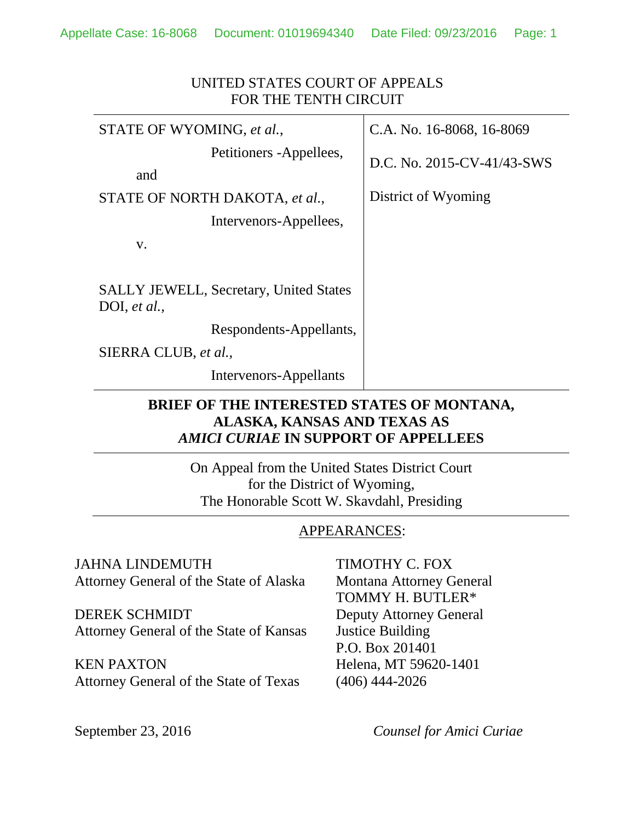| UNITED STATES COURT OF APPEALS<br>FOR THE TENTH CIRCUIT       |                            |  |  |
|---------------------------------------------------------------|----------------------------|--|--|
| STATE OF WYOMING, et al.,                                     | C.A. No. 16-8068, 16-8069  |  |  |
| Petitioners - Appellees,<br>and                               | D.C. No. 2015-CV-41/43-SWS |  |  |
| STATE OF NORTH DAKOTA, et al.,                                | District of Wyoming        |  |  |
| Intervenors-Appellees,                                        |                            |  |  |
| V.                                                            |                            |  |  |
| <b>SALLY JEWELL, Secretary, United States</b><br>DOI, et al., |                            |  |  |
| Respondents-Appellants,                                       |                            |  |  |
| SIERRA CLUB, et al.,                                          |                            |  |  |
| Intervenors-Appellants                                        |                            |  |  |

## **BRIEF OF THE INTERESTED STATES OF MONTANA, ALASKA, KANSAS AND TEXAS AS**  *AMICI CURIAE* **IN SUPPORT OF APPELLEES**

On Appeal from the United States District Court for the District of Wyoming, The Honorable Scott W. Skavdahl, Presiding

#### APPEARANCES:

JAHNA LINDEMUTH TIMOTHY C. FOX Attorney General of the State of Alaska Montana Attorney General

DEREK SCHMIDT Deputy Attorney General Attorney General of the State of Kansas Justice Building

KEN PAXTON Helena, MT 59620-1401 Attorney General of the State of Texas (406) 444-2026

TOMMY H. BUTLER\* P.O. Box 201401

September 23, 2016 *Counsel for Amici Curiae*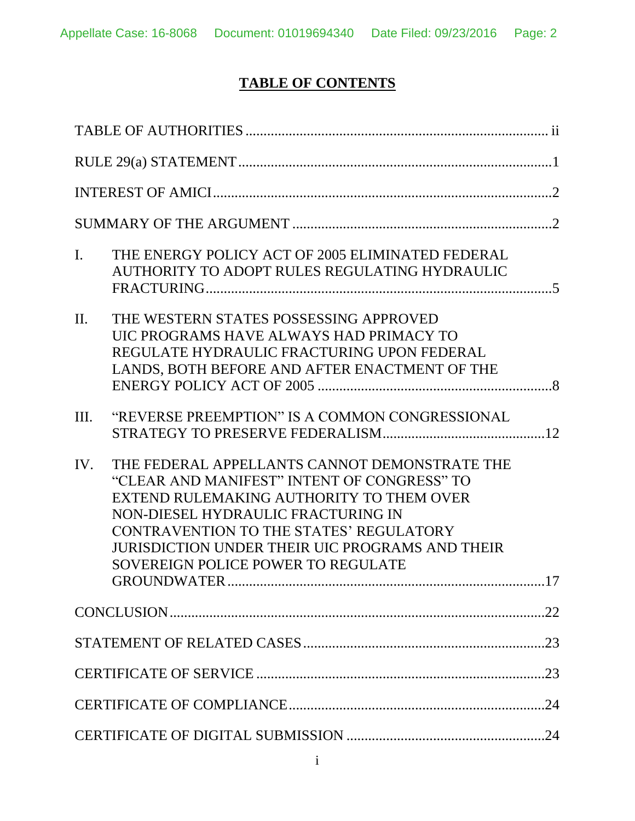# **TABLE OF CONTENTS**

| $\mathbf{I}$ . | THE ENERGY POLICY ACT OF 2005 ELIMINATED FEDERAL<br>AUTHORITY TO ADOPT RULES REGULATING HYDRAULIC                                                                                                                                                                                                                                                |     |
|----------------|--------------------------------------------------------------------------------------------------------------------------------------------------------------------------------------------------------------------------------------------------------------------------------------------------------------------------------------------------|-----|
| $\Pi$ .        | THE WESTERN STATES POSSESSING APPROVED<br>UIC PROGRAMS HAVE ALWAYS HAD PRIMACY TO<br>REGULATE HYDRAULIC FRACTURING UPON FEDERAL<br>LANDS, BOTH BEFORE AND AFTER ENACTMENT OF THE                                                                                                                                                                 |     |
| III.           | "REVERSE PREEMPTION" IS A COMMON CONGRESSIONAL                                                                                                                                                                                                                                                                                                   |     |
| IV.            | THE FEDERAL APPELLANTS CANNOT DEMONSTRATE THE<br>"CLEAR AND MANIFEST" INTENT OF CONGRESS" TO<br>EXTEND RULEMAKING AUTHORITY TO THEM OVER<br>NON-DIESEL HYDRAULIC FRACTURING IN<br>CONTRAVENTION TO THE STATES' REGULATORY<br>JURISDICTION UNDER THEIR UIC PROGRAMS AND THEIR<br><b>SOVEREIGN POLICE POWER TO REGULATE</b><br><b>GROUNDWATER.</b> | .17 |
|                |                                                                                                                                                                                                                                                                                                                                                  |     |
|                |                                                                                                                                                                                                                                                                                                                                                  |     |
|                |                                                                                                                                                                                                                                                                                                                                                  |     |
|                |                                                                                                                                                                                                                                                                                                                                                  |     |
|                |                                                                                                                                                                                                                                                                                                                                                  |     |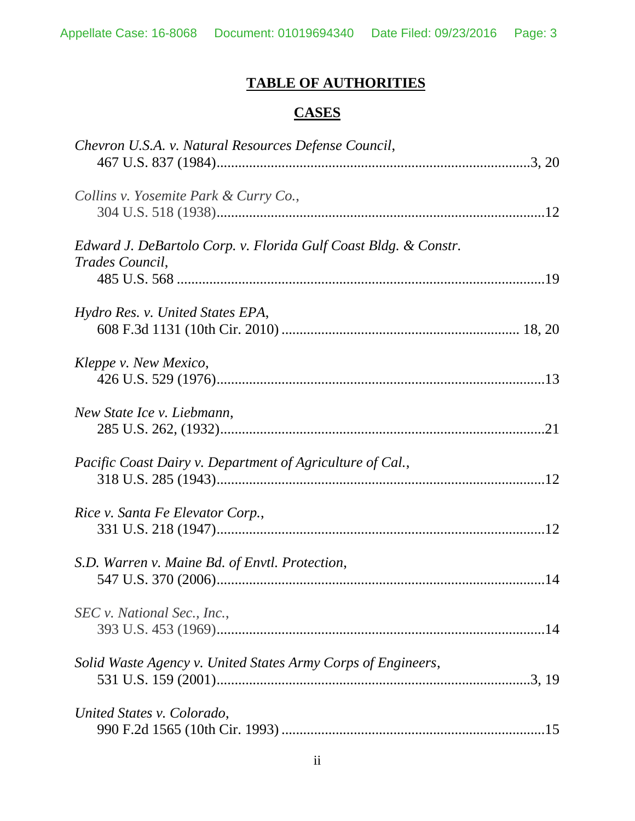# **TABLE OF AUTHORITIES**

## **CASES**

<span id="page-2-0"></span>

| Chevron U.S.A. v. Natural Resources Defense Council,                               |  |
|------------------------------------------------------------------------------------|--|
| Collins v. Yosemite Park & Curry Co.,                                              |  |
| Edward J. DeBartolo Corp. v. Florida Gulf Coast Bldg. & Constr.<br>Trades Council, |  |
| Hydro Res. v. United States EPA,                                                   |  |
| Kleppe v. New Mexico,                                                              |  |
| New State Ice v. Liebmann,                                                         |  |
| Pacific Coast Dairy v. Department of Agriculture of Cal.,                          |  |
| Rice v. Santa Fe Elevator Corp.,                                                   |  |
| S.D. Warren v. Maine Bd. of Envtl. Protection,                                     |  |
| SEC v. National Sec., Inc.,                                                        |  |
| Solid Waste Agency v. United States Army Corps of Engineers,                       |  |
| United States v. Colorado,                                                         |  |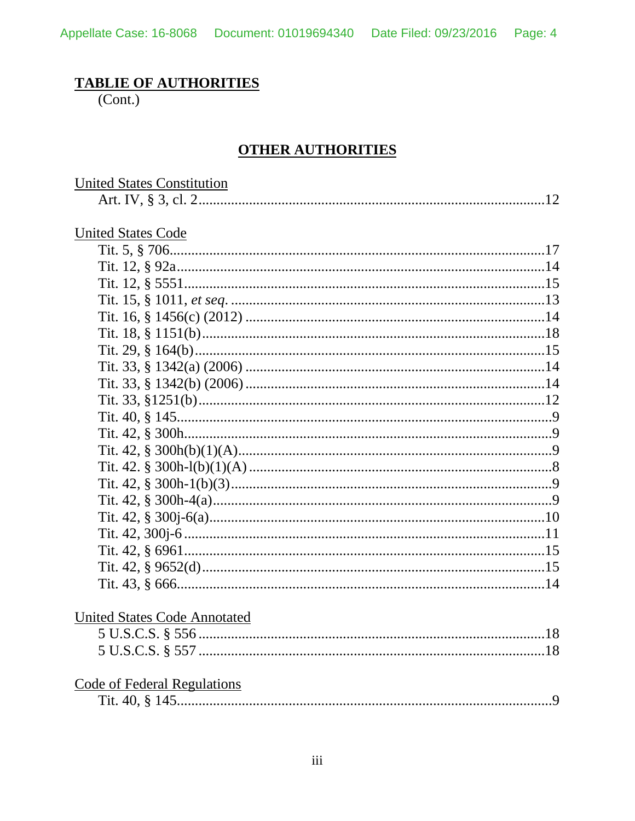## **TABLIE OF AUTHORITIES**

 $(Cont.)$ 

## **OTHER AUTHORITIES**

| <b>United States Constitution</b>   |  |
|-------------------------------------|--|
|                                     |  |
|                                     |  |
| <b>United States Code</b>           |  |
|                                     |  |
|                                     |  |
|                                     |  |
|                                     |  |
|                                     |  |
|                                     |  |
|                                     |  |
|                                     |  |
|                                     |  |
|                                     |  |
|                                     |  |
|                                     |  |
|                                     |  |
|                                     |  |
|                                     |  |
|                                     |  |
|                                     |  |
|                                     |  |
|                                     |  |
|                                     |  |
|                                     |  |
|                                     |  |
| <b>United States Code Annotated</b> |  |
|                                     |  |
|                                     |  |
|                                     |  |
| Code of Federal Regulations         |  |
|                                     |  |
|                                     |  |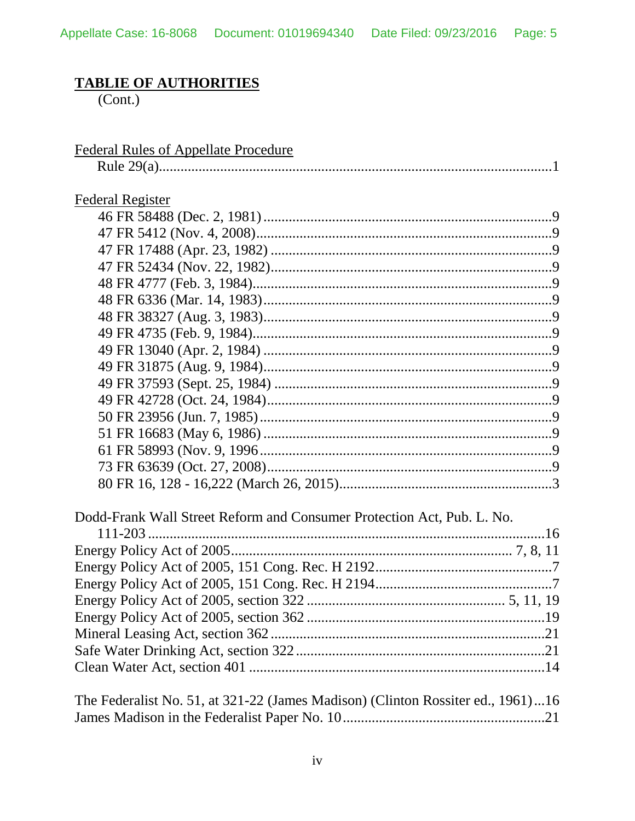## **TABLIE OF AUTHORITIES**

 $(Cont.)$ 

| <b>Federal Register</b>                                                         | <b>Federal Rules of Appellate Procedure</b>                            |  |
|---------------------------------------------------------------------------------|------------------------------------------------------------------------|--|
|                                                                                 |                                                                        |  |
|                                                                                 |                                                                        |  |
|                                                                                 |                                                                        |  |
|                                                                                 |                                                                        |  |
|                                                                                 |                                                                        |  |
|                                                                                 |                                                                        |  |
|                                                                                 |                                                                        |  |
|                                                                                 |                                                                        |  |
|                                                                                 |                                                                        |  |
|                                                                                 |                                                                        |  |
|                                                                                 |                                                                        |  |
|                                                                                 |                                                                        |  |
|                                                                                 |                                                                        |  |
|                                                                                 |                                                                        |  |
|                                                                                 |                                                                        |  |
|                                                                                 |                                                                        |  |
|                                                                                 |                                                                        |  |
|                                                                                 |                                                                        |  |
|                                                                                 |                                                                        |  |
|                                                                                 |                                                                        |  |
|                                                                                 |                                                                        |  |
|                                                                                 | Dodd-Frank Wall Street Reform and Consumer Protection Act, Pub. L. No. |  |
|                                                                                 |                                                                        |  |
|                                                                                 |                                                                        |  |
|                                                                                 |                                                                        |  |
|                                                                                 |                                                                        |  |
|                                                                                 |                                                                        |  |
|                                                                                 |                                                                        |  |
|                                                                                 |                                                                        |  |
|                                                                                 |                                                                        |  |
|                                                                                 |                                                                        |  |
|                                                                                 |                                                                        |  |
| The Federalist No. 51, at 321-22 (James Madison) (Clinton Rossiter ed., 1961)16 |                                                                        |  |
|                                                                                 |                                                                        |  |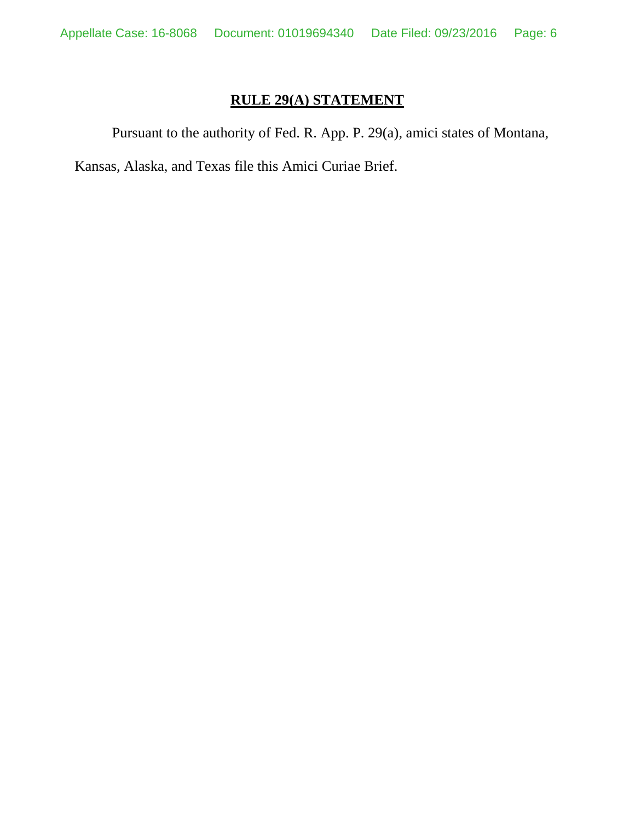## **RULE 29(A) STATEMENT**

<span id="page-5-0"></span>Pursuant to the authority of Fed. R. App. P. 29(a), amici states of Montana,

Kansas, Alaska, and Texas file this Amici Curiae Brief.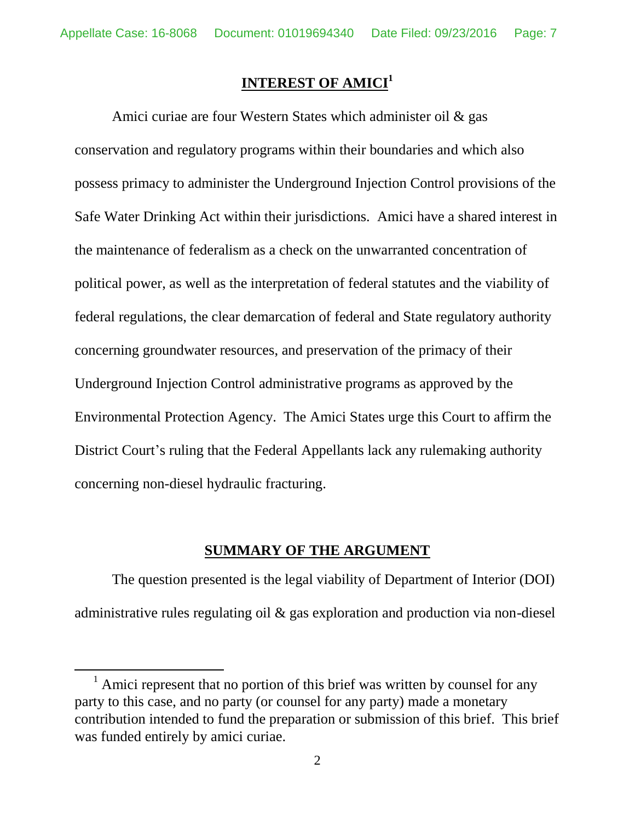### **INTEREST OF AMICI<sup>1</sup>**

<span id="page-6-0"></span>Amici curiae are four Western States which administer oil & gas conservation and regulatory programs within their boundaries and which also possess primacy to administer the Underground Injection Control provisions of the Safe Water Drinking Act within their jurisdictions. Amici have a shared interest in the maintenance of federalism as a check on the unwarranted concentration of political power, as well as the interpretation of federal statutes and the viability of federal regulations, the clear demarcation of federal and State regulatory authority concerning groundwater resources, and preservation of the primacy of their Underground Injection Control administrative programs as approved by the Environmental Protection Agency. The Amici States urge this Court to affirm the District Court's ruling that the Federal Appellants lack any rulemaking authority concerning non-diesel hydraulic fracturing.

#### **SUMMARY OF THE ARGUMENT**

<span id="page-6-1"></span>The question presented is the legal viability of Department of Interior (DOI) administrative rules regulating oil & gas exploration and production via non-diesel

 $\overline{a}$ 

 $1$  Amici represent that no portion of this brief was written by counsel for any party to this case, and no party (or counsel for any party) made a monetary contribution intended to fund the preparation or submission of this brief. This brief was funded entirely by amici curiae.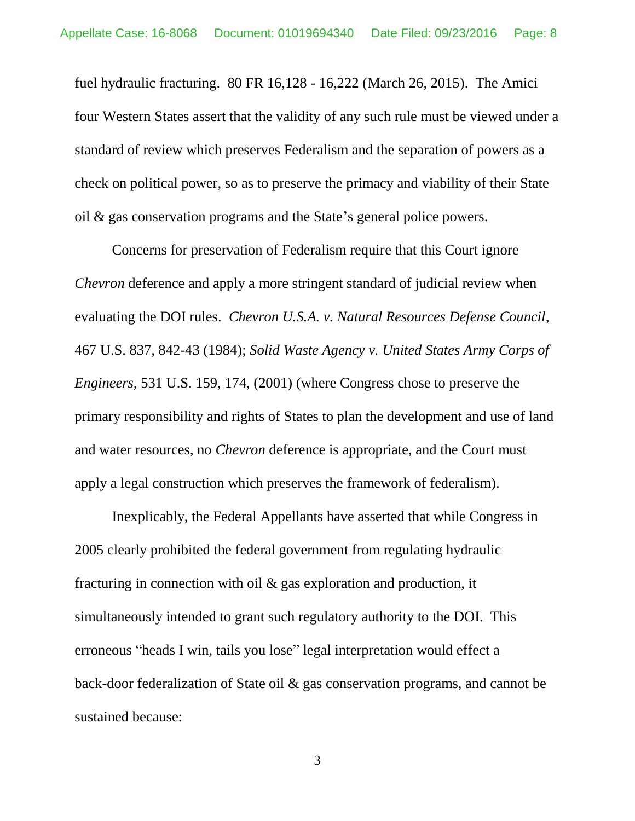fuel hydraulic fracturing. 80 FR 16,128 - 16,222 (March 26, 2015). The Amici four Western States assert that the validity of any such rule must be viewed under a standard of review which preserves Federalism and the separation of powers as a check on political power, so as to preserve the primacy and viability of their State oil & gas conservation programs and the State's general police powers.

Concerns for preservation of Federalism require that this Court ignore *Chevron* deference and apply a more stringent standard of judicial review when evaluating the DOI rules. *Chevron U.S.A. v. Natural Resources Defense Council*, 467 U.S. 837, 842-43 (1984); *Solid Waste Agency v. United States Army Corps of Engineers*, 531 U.S. 159, 174, (2001) (where Congress chose to preserve the primary responsibility and rights of States to plan the development and use of land and water resources, no *Chevron* deference is appropriate, and the Court must apply a legal construction which preserves the framework of federalism).

Inexplicably, the Federal Appellants have asserted that while Congress in 2005 clearly prohibited the federal government from regulating hydraulic fracturing in connection with oil & gas exploration and production, it simultaneously intended to grant such regulatory authority to the DOI. This erroneous "heads I win, tails you lose" legal interpretation would effect a back-door federalization of State oil & gas conservation programs, and cannot be sustained because: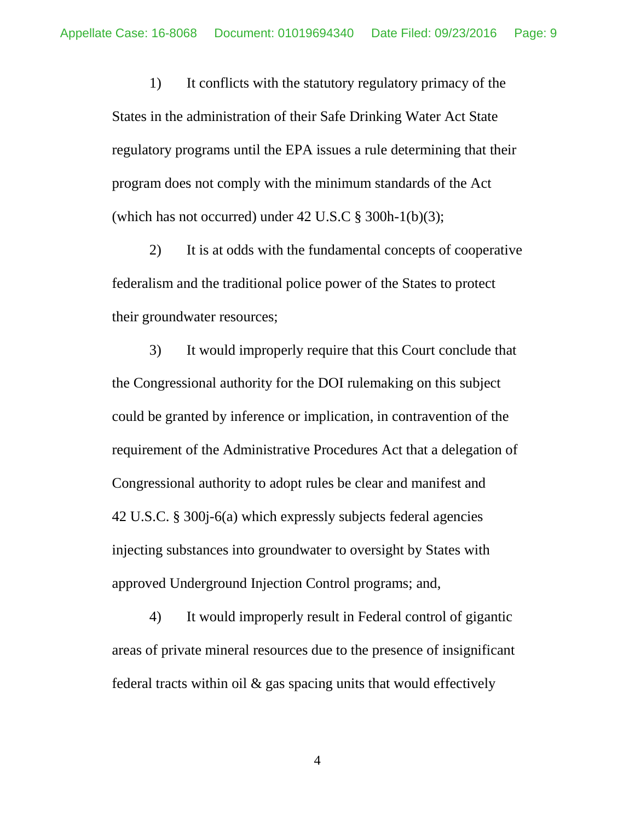1) It conflicts with the statutory regulatory primacy of the States in the administration of their Safe Drinking Water Act State regulatory programs until the EPA issues a rule determining that their program does not comply with the minimum standards of the Act (which has not occurred) under  $42 \text{ U.S.C}$  §  $300\text{h-1(b)}(3)$ ;

2) It is at odds with the fundamental concepts of cooperative federalism and the traditional police power of the States to protect their groundwater resources;

3) It would improperly require that this Court conclude that the Congressional authority for the DOI rulemaking on this subject could be granted by inference or implication, in contravention of the requirement of the Administrative Procedures Act that a delegation of Congressional authority to adopt rules be clear and manifest and 42 U.S.C. § 300j-6(a) which expressly subjects federal agencies injecting substances into groundwater to oversight by States with approved Underground Injection Control programs; and,

4) It would improperly result in Federal control of gigantic areas of private mineral resources due to the presence of insignificant federal tracts within oil  $\&$  gas spacing units that would effectively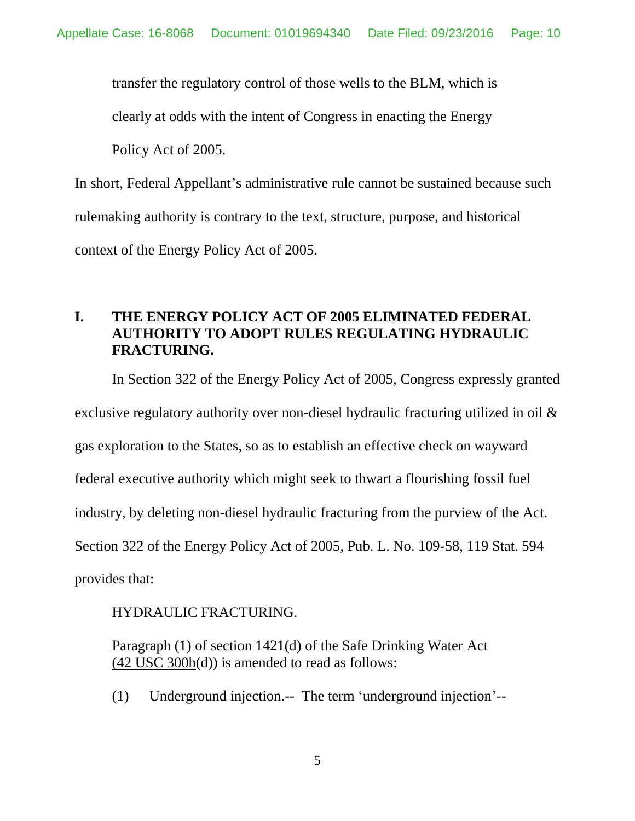transfer the regulatory control of those wells to the BLM, which is

clearly at odds with the intent of Congress in enacting the Energy

Policy Act of 2005.

In short, Federal Appellant's administrative rule cannot be sustained because such rulemaking authority is contrary to the text, structure, purpose, and historical context of the Energy Policy Act of 2005.

### <span id="page-9-0"></span>**I. THE ENERGY POLICY ACT OF 2005 ELIMINATED FEDERAL AUTHORITY TO ADOPT RULES REGULATING HYDRAULIC FRACTURING.**

In Section 322 of the Energy Policy Act of 2005, Congress expressly granted

exclusive regulatory authority over non-diesel hydraulic fracturing utilized in oil &

gas exploration to the States, so as to establish an effective check on wayward

federal executive authority which might seek to thwart a flourishing fossil fuel

industry, by deleting non-diesel hydraulic fracturing from the purview of the Act.

Section 322 of the Energy Policy Act of 2005, Pub. L. No. 109-58, 119 Stat. 594

provides that:

#### HYDRAULIC FRACTURING.

Paragraph (1) of section 1421(d) of the Safe Drinking Water Act (42 [USC 300h\(](https://advance.lexis.com/document/?pdmfid=1000516&crid=9326258e-c43a-4fcd-af97-c4e34cea1f0c&pddocfullpath=%2Fshared%2Fdocument%2Fstatutes-legislation%2Furn%3AcontentItem%3A4H21-5NM0-0019-T1CS-00000-00&pddocid=urn%3AcontentItem%3A4H21-5NM0-0019-T1CS-00000-00&pdcontentcomponentid=4587&pdteaserkey=sr0&ecomp=28mhk&earg=sr0&prid=5c0a8576-7ca4-470f-a010-c1b531593d0d)d)) is amended to read as follows:

(1) Underground injection.-- The term 'underground injection'--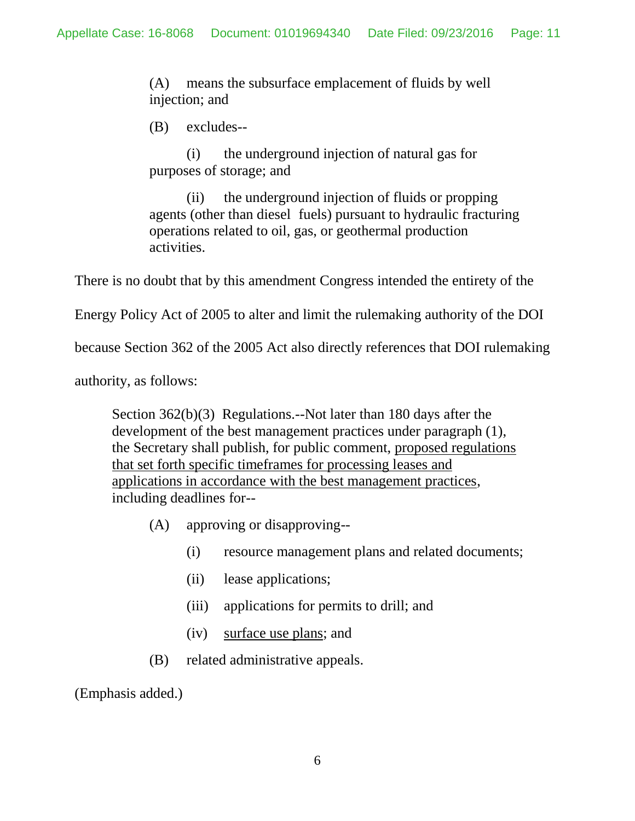(A) means the subsurface emplacement of fluids by well injection; and

(B) excludes--

(i) the underground injection of natural gas for purposes of storage; and

(ii) the underground injection of fluids or propping agents (other than diesel fuels) pursuant to hydraulic fracturing operations related to oil, gas, or geothermal production activities.

There is no doubt that by this amendment Congress intended the entirety of the

Energy Policy Act of 2005 to alter and limit the rulemaking authority of the DOI

because Section 362 of the 2005 Act also directly references that DOI rulemaking

authority, as follows:

Section 362(b)(3) Regulations.--Not later than 180 days after the development of the best management practices under paragraph (1), the Secretary shall publish, for public comment, proposed regulations that set forth specific timeframes for processing leases and applications in accordance with the best management practices, including deadlines for--

- (A) approving or disapproving--
	- (i) resource management plans and related documents;
	- (ii) lease applications;
	- (iii) applications for permits to drill; and
	- (iv) surface use plans; and
- (B) related administrative appeals.

(Emphasis added.)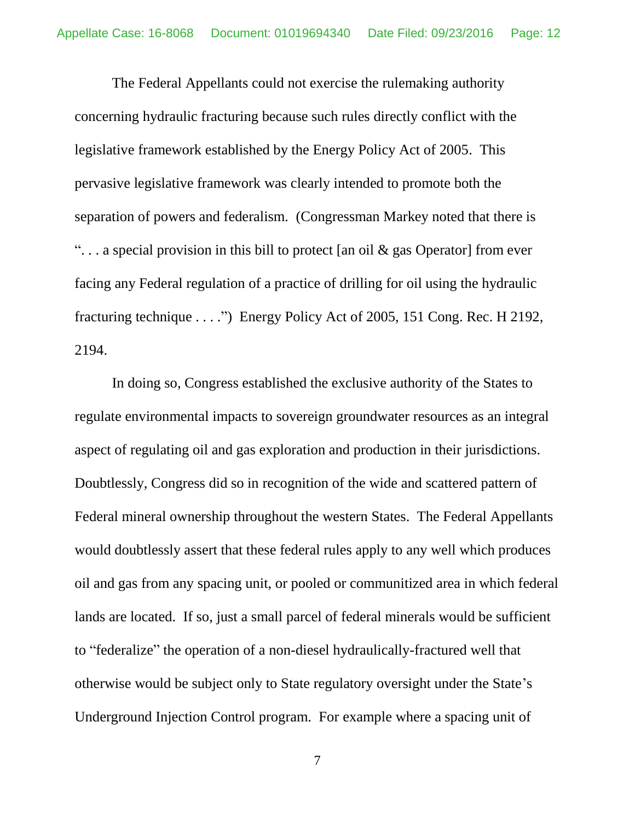The Federal Appellants could not exercise the rulemaking authority concerning hydraulic fracturing because such rules directly conflict with the legislative framework established by the Energy Policy Act of 2005. This pervasive legislative framework was clearly intended to promote both the separation of powers and federalism. (Congressman Markey noted that there is "... a special provision in this bill to protect [an oil  $\&$  gas Operator] from ever facing any Federal regulation of a practice of drilling for oil using the hydraulic fracturing technique . . . .") Energy Policy Act of 2005, 151 Cong. Rec. H 2192, 2194.

In doing so, Congress established the exclusive authority of the States to regulate environmental impacts to sovereign groundwater resources as an integral aspect of regulating oil and gas exploration and production in their jurisdictions. Doubtlessly, Congress did so in recognition of the wide and scattered pattern of Federal mineral ownership throughout the western States. The Federal Appellants would doubtlessly assert that these federal rules apply to any well which produces oil and gas from any spacing unit, or pooled or communitized area in which federal lands are located. If so, just a small parcel of federal minerals would be sufficient to "federalize" the operation of a non-diesel hydraulically-fractured well that otherwise would be subject only to State regulatory oversight under the State's Underground Injection Control program. For example where a spacing unit of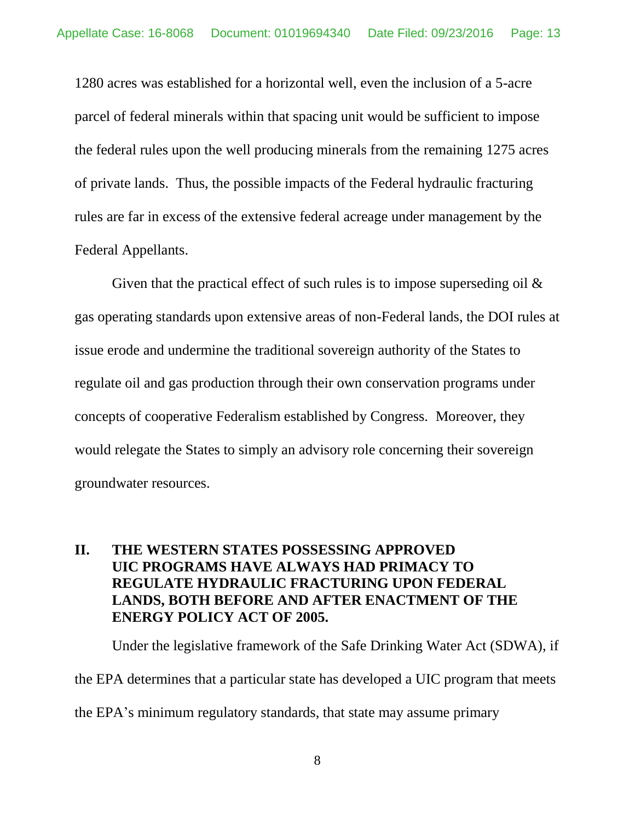1280 acres was established for a horizontal well, even the inclusion of a 5-acre parcel of federal minerals within that spacing unit would be sufficient to impose the federal rules upon the well producing minerals from the remaining 1275 acres of private lands. Thus, the possible impacts of the Federal hydraulic fracturing rules are far in excess of the extensive federal acreage under management by the Federal Appellants.

Given that the practical effect of such rules is to impose superseding oil  $\&$ gas operating standards upon extensive areas of non-Federal lands, the DOI rules at issue erode and undermine the traditional sovereign authority of the States to regulate oil and gas production through their own conservation programs under concepts of cooperative Federalism established by Congress. Moreover, they would relegate the States to simply an advisory role concerning their sovereign groundwater resources.

## <span id="page-12-0"></span>**II. THE WESTERN STATES POSSESSING APPROVED UIC PROGRAMS HAVE ALWAYS HAD PRIMACY TO REGULATE HYDRAULIC FRACTURING UPON FEDERAL LANDS, BOTH BEFORE AND AFTER ENACTMENT OF THE ENERGY POLICY ACT OF 2005.**

Under the legislative framework of the Safe Drinking Water Act (SDWA), if the EPA determines that a particular state has developed a UIC program that meets the EPA's minimum regulatory standards, that state may assume primary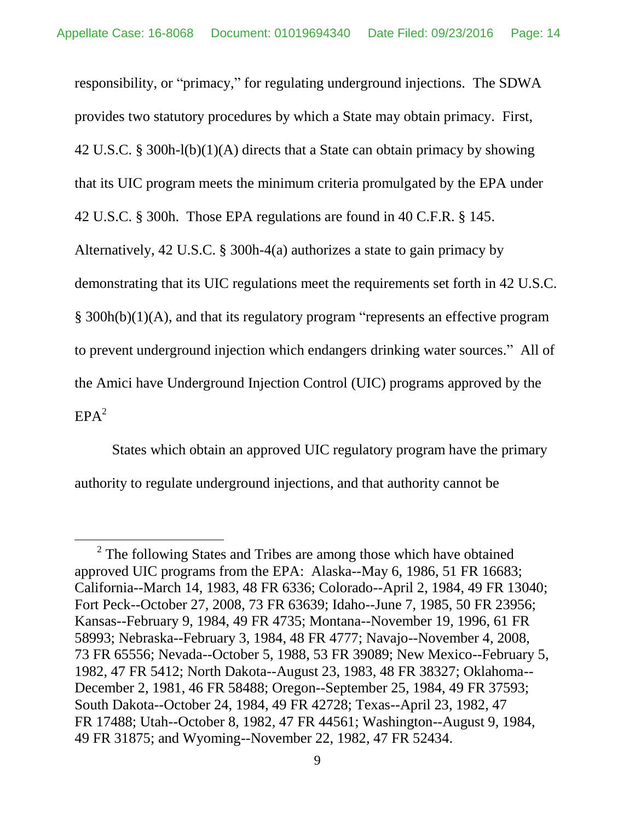responsibility, or "primacy," for regulating underground injections. The SDWA provides two statutory procedures by which a State may obtain primacy. First, 42 U.S.C. § 300h-l(b)(1)(A) directs that a State can obtain primacy by showing that its UIC program meets the minimum criteria promulgated by the EPA under 42 U.S.C. § 300h. Those EPA regulations are found in 40 C.F.R. § 145. Alternatively, 42 U.S.C. § 300h-4(a) authorizes a state to gain primacy by demonstrating that its UIC regulations meet the requirements set forth in 42 U.S.C. § 300h(b)(1)(A), and that its regulatory program "represents an effective program to prevent underground injection which endangers drinking water sources." All of the Amici have Underground Injection Control (UIC) programs approved by the  $EPA<sup>2</sup>$ 

States which obtain an approved UIC regulatory program have the primary authority to regulate underground injections, and that authority cannot be

 $\overline{a}$ 

 $2^2$  The following States and Tribes are among those which have obtained approved UIC programs from the EPA: Alaska--May 6, 1986, 51 FR 16683; California--March 14, 1983, 48 FR 6336; Colorado--April 2, 1984, 49 FR 13040; Fort Peck--October 27, 2008, 73 FR 63639; Idaho--June 7, 1985, 50 FR 23956; Kansas--February 9, 1984, 49 FR 4735; Montana--November 19, 1996, 61 FR 58993; Nebraska--February 3, 1984, 48 FR 4777; Navajo--November 4, 2008, 73 FR 65556; Nevada--October 5, 1988, 53 FR 39089; New Mexico--February 5, 1982, 47 FR 5412; North Dakota--August 23, 1983, 48 FR 38327; Oklahoma-- December 2, 1981, 46 FR 58488; Oregon--September 25, 1984, 49 FR 37593; South Dakota--October 24, 1984, 49 FR 42728; Texas--April 23, 1982, 47 FR 17488; Utah--October 8, 1982, 47 FR 44561; Washington--August 9, 1984, 49 FR 31875; and Wyoming--November 22, 1982, 47 FR 52434.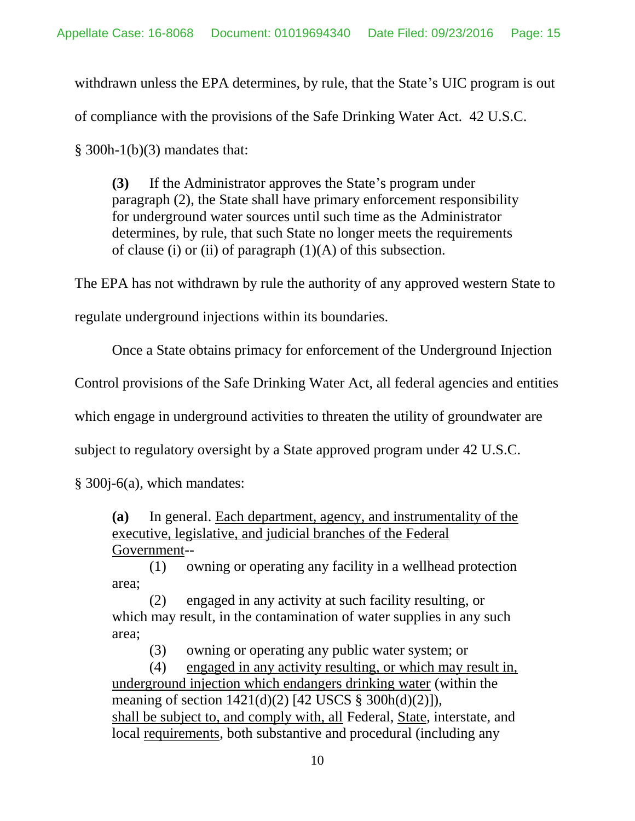withdrawn unless the EPA determines, by rule, that the State's UIC program is out of compliance with the provisions of the Safe Drinking Water Act. 42 U.S.C.

 $§$  300h-1(b)(3) mandates that:

**(3)** If the Administrator approves the State's program under paragraph (2), the State shall have primary enforcement responsibility for underground water sources until such time as the Administrator determines, by rule, that such State no longer meets the requirements of clause (i) or (ii) of paragraph  $(1)(A)$  of this subsection.

The EPA has not withdrawn by rule the authority of any approved western State to

regulate underground injections within its boundaries.

Once a State obtains primacy for enforcement of the Underground Injection

Control provisions of the Safe Drinking Water Act, all federal agencies and entities

which engage in underground activities to threaten the utility of groundwater are

subject to regulatory oversight by a State approved program under 42 U.S.C.

§ 300j-6(a), which mandates:

**(a)** In general. Each department, agency, and instrumentality of the executive, legislative, and judicial branches of the Federal Government--

(1) owning or operating any facility in a wellhead protection area;

(2) engaged in any activity at such facility resulting, or which may result, in the contamination of water supplies in any such area;

(3) owning or operating any public water system; or

(4) engaged in any activity resulting, or which may result in, underground injection which endangers drinking water (within the meaning of section 1421(d)(2) [42 USCS § 300h(d)(2)]), shall be subject to, and comply with, all Federal, State, interstate, and local requirements, both substantive and procedural (including any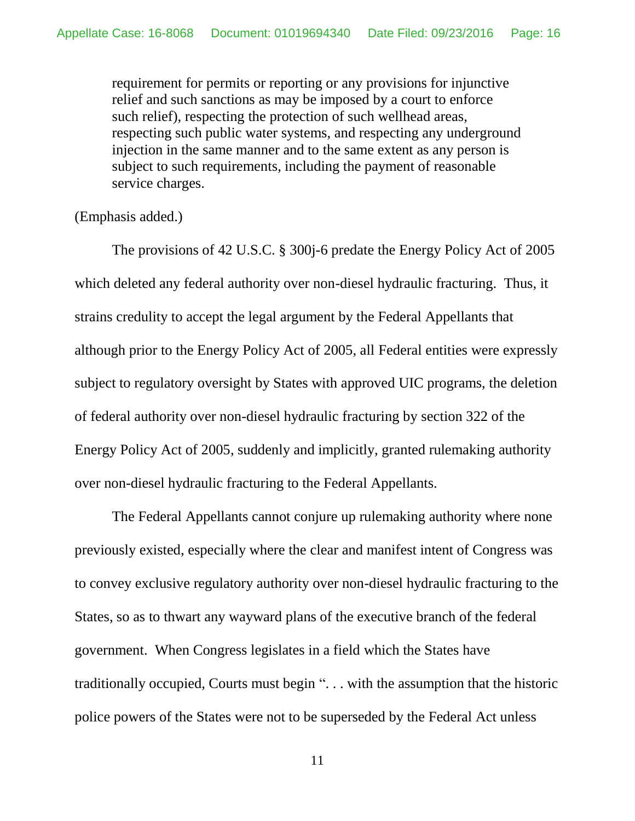requirement for permits or reporting or any provisions for injunctive relief and such sanctions as may be imposed by a court to enforce such relief), respecting the protection of such wellhead areas, respecting such public water systems, and respecting any underground injection in the same manner and to the same extent as any person is subject to such requirements, including the payment of reasonable service charges.

#### (Emphasis added.)

The provisions of 42 U.S.C. § 300j-6 predate the Energy Policy Act of 2005 which deleted any federal authority over non-diesel hydraulic fracturing. Thus, it strains credulity to accept the legal argument by the Federal Appellants that although prior to the Energy Policy Act of 2005, all Federal entities were expressly subject to regulatory oversight by States with approved UIC programs, the deletion of federal authority over non-diesel hydraulic fracturing by section 322 of the Energy Policy Act of 2005, suddenly and implicitly, granted rulemaking authority over non-diesel hydraulic fracturing to the Federal Appellants.

The Federal Appellants cannot conjure up rulemaking authority where none previously existed, especially where the clear and manifest intent of Congress was to convey exclusive regulatory authority over non-diesel hydraulic fracturing to the States, so as to thwart any wayward plans of the executive branch of the federal government. When Congress legislates in a field which the States have traditionally occupied, Courts must begin ". . . with the assumption that the historic police powers of the States were not to be superseded by the Federal Act unless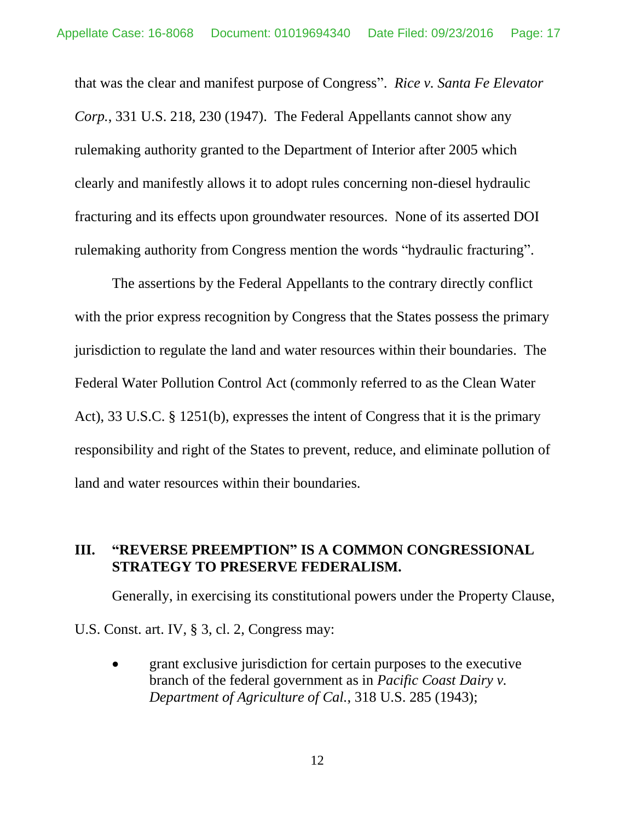that was the clear and manifest purpose of Congress". *Rice v. Santa Fe Elevator Corp.*, 331 U.S. 218, 230 (1947). The Federal Appellants cannot show any rulemaking authority granted to the Department of Interior after 2005 which clearly and manifestly allows it to adopt rules concerning non-diesel hydraulic fracturing and its effects upon groundwater resources. None of its asserted DOI rulemaking authority from Congress mention the words "hydraulic fracturing".

The assertions by the Federal Appellants to the contrary directly conflict with the prior express recognition by Congress that the States possess the primary jurisdiction to regulate the land and water resources within their boundaries. The Federal Water Pollution Control Act (commonly referred to as the Clean Water Act), 33 U.S.C. § 1251(b), expresses the intent of Congress that it is the primary responsibility and right of the States to prevent, reduce, and eliminate pollution of land and water resources within their boundaries.

#### <span id="page-16-0"></span>**III. "REVERSE PREEMPTION" IS A COMMON CONGRESSIONAL STRATEGY TO PRESERVE FEDERALISM.**

Generally, in exercising its constitutional powers under the Property Clause, U.S. Const. art. IV, § 3, cl. 2, Congress may:

 grant exclusive jurisdiction for certain purposes to the executive branch of the federal government as in *Pacific Coast Dairy v. Department of Agriculture of Cal.*, 318 U.S. 285 (1943);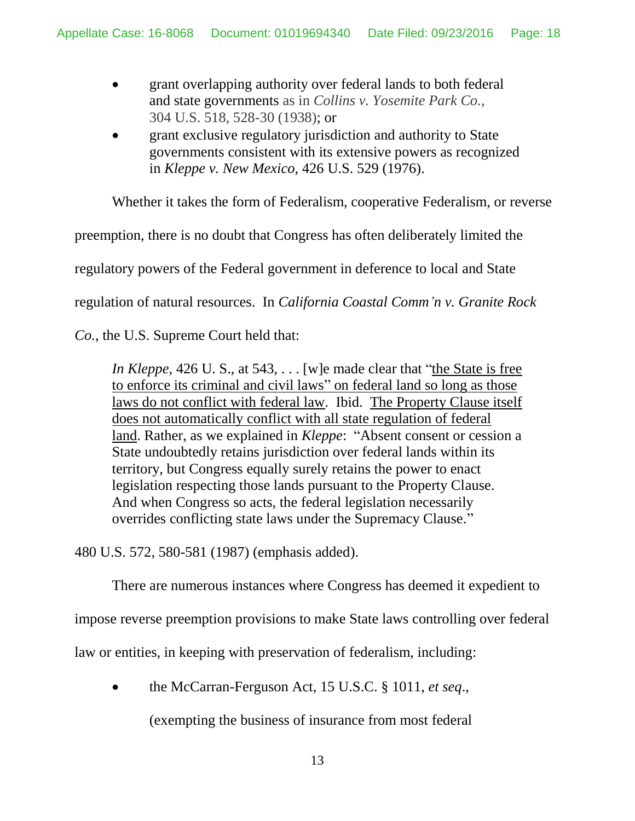- grant overlapping authority over federal lands to both federal and state governments as in *Collins v. Yosemite Park Co.*, 304 U.S. 518, 528-30 (1938); or
- grant exclusive regulatory jurisdiction and authority to State governments consistent with its extensive powers as recognized in *Kleppe v. New Mexico*, 426 U.S. 529 (1976).

Whether it takes the form of Federalism, cooperative Federalism, or reverse

preemption, there is no doubt that Congress has often deliberately limited the

regulatory powers of the Federal government in deference to local and State

regulation of natural resources. In *California Coastal Comm'n v. Granite Rock* 

*Co.*, the U.S. Supreme Court held that:

*In Kleppe*, 426 U. S., at 543, . . . [w]e made clear that "the State is free to enforce its criminal and civil laws" on federal land so long as those laws do not conflict with federal law. Ibid. The Property Clause itself does not automatically conflict with all state regulation of federal land. Rather, as we explained in *Kleppe*: "Absent consent or cession a State undoubtedly retains jurisdiction over federal lands within its territory, but Congress equally surely retains the power to enact legislation respecting those lands pursuant to the Property Clause. And when Congress so acts, the federal legislation necessarily overrides conflicting state laws under the Supremacy Clause."

480 U.S. 572, 580-581 (1987) (emphasis added).

There are numerous instances where Congress has deemed it expedient to

impose reverse preemption provisions to make State laws controlling over federal

law or entities, in keeping with preservation of federalism, including:

the McCarran-Ferguson Act, 15 U.S.C. § 1011, *et seq*.,

(exempting the business of insurance from most federal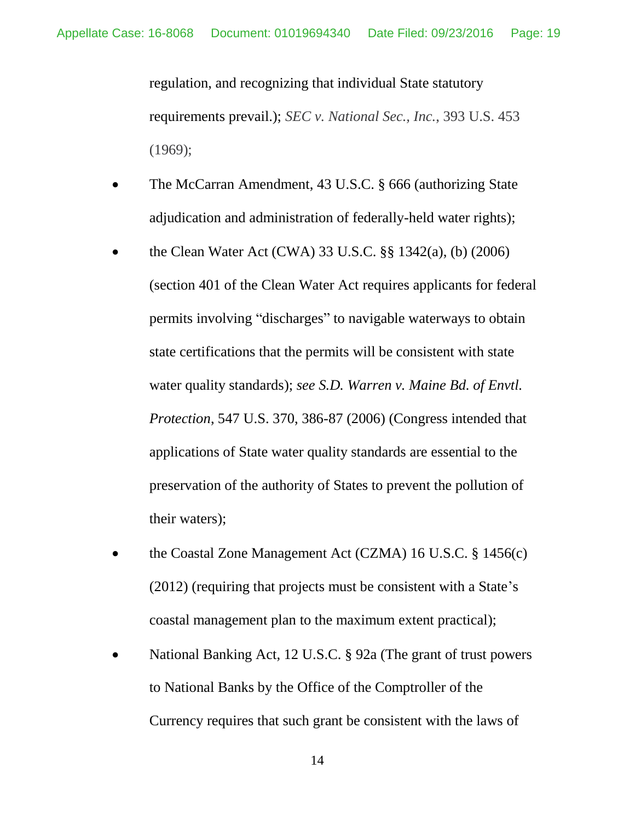regulation, and recognizing that individual State statutory requirements prevail.); *SEC v. National Sec., Inc.*, 393 U.S. 453 (1969);

- The McCarran Amendment, 43 U.S.C. § 666 (authorizing State adjudication and administration of federally-held water rights);
- the Clean Water Act (CWA) 33 U.S.C. §§ 1342(a), (b) (2006) (section 401 of the Clean Water Act requires applicants for federal permits involving "discharges" to navigable waterways to obtain state certifications that the permits will be consistent with state water quality standards); *see S.D. Warren v. Maine Bd. of Envtl. Protection*, 547 U.S. 370, 386-87 (2006) (Congress intended that applications of State water quality standards are essential to the preservation of the authority of States to prevent the pollution of their waters);
- the Coastal Zone Management Act (CZMA) 16 U.S.C. § 1456(c) (2012) (requiring that projects must be consistent with a State's coastal management plan to the maximum extent practical);
- National Banking Act, 12 U.S.C. § 92a (The grant of trust powers to National Banks by the Office of the Comptroller of the Currency requires that such grant be consistent with the laws of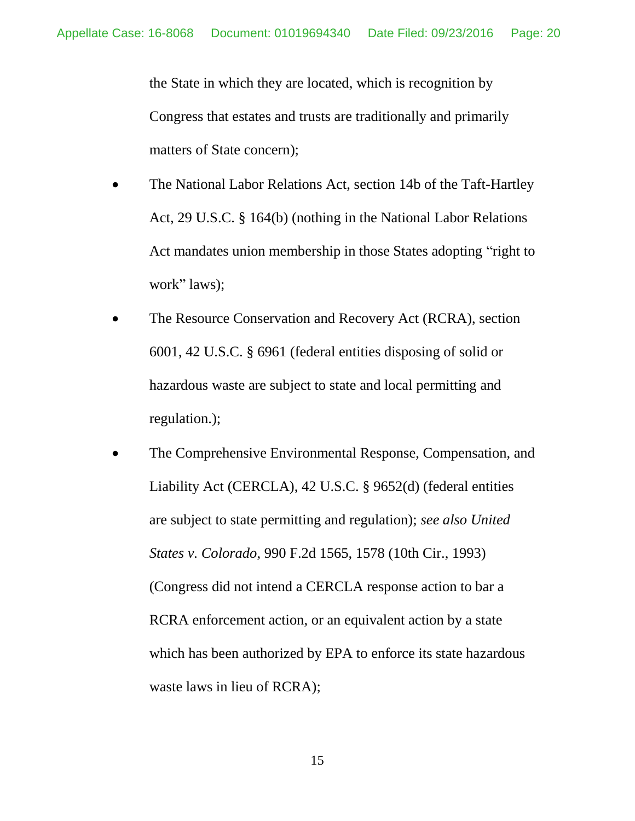the State in which they are located, which is recognition by Congress that estates and trusts are traditionally and primarily matters of State concern);

- The National Labor Relations Act, section 14b of the Taft-Hartley Act, 29 U.S.C. § 164(b) (nothing in the National Labor Relations Act mandates union membership in those States adopting "right to work" laws);
- The Resource Conservation and Recovery Act (RCRA), section 6001, 42 U.S.C. § 6961 (federal entities disposing of solid or hazardous waste are subject to state and local permitting and regulation.);
- The Comprehensive Environmental Response, Compensation, and Liability Act (CERCLA), 42 U.S.C. § 9652(d) (federal entities are subject to state permitting and regulation); *see also United States v. Colorado*, 990 F.2d 1565, 1578 (10th Cir., 1993) (Congress did not intend a CERCLA response action to bar a RCRA enforcement action, or an equivalent action by a state which has been authorized by EPA to enforce its state hazardous waste laws in lieu of RCRA);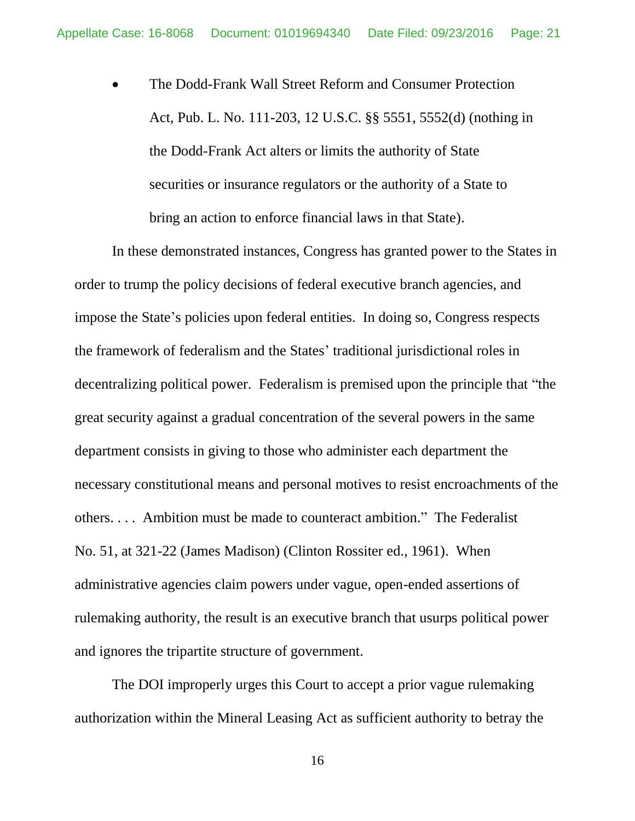• The Dodd-Frank Wall Street Reform and Consumer Protection Act, Pub. L. No. 111-203, 12 U.S.C. §§ 5551, 5552(d) (nothing in the Dodd-Frank Act alters or limits the authority of State securities or insurance regulators or the authority of a State to bring an action to enforce financial laws in that State).

In these demonstrated instances, Congress has granted power to the States in order to trump the policy decisions of federal executive branch agencies, and impose the State's policies upon federal entities. In doing so, Congress respects the framework of federalism and the States' traditional jurisdictional roles in decentralizing political power. Federalism is premised upon the principle that "the great security against a gradual concentration of the several powers in the same department consists in giving to those who administer each department the necessary constitutional means and personal motives to resist encroachments of the others. . . . Ambition must be made to counteract ambition." The Federalist No. 51, at 321-22 (James Madison) (Clinton Rossiter ed., 1961). When administrative agencies claim powers under vague, open-ended assertions of rulemaking authority, the result is an executive branch that usurps political power and ignores the tripartite structure of government.

The DOI improperly urges this Court to accept a prior vague rulemaking authorization within the Mineral Leasing Act as sufficient authority to betray the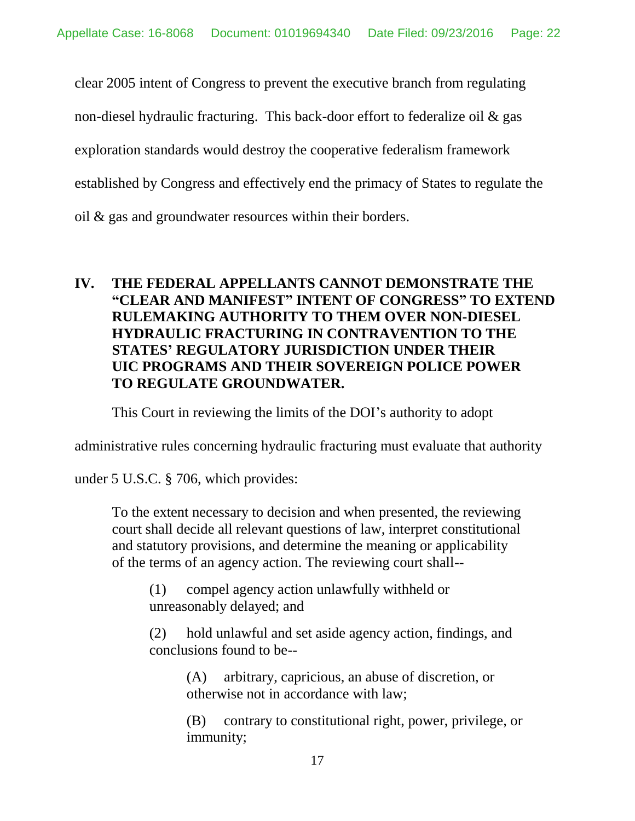clear 2005 intent of Congress to prevent the executive branch from regulating non-diesel hydraulic fracturing. This back-door effort to federalize oil & gas exploration standards would destroy the cooperative federalism framework established by Congress and effectively end the primacy of States to regulate the oil & gas and groundwater resources within their borders.

## <span id="page-21-0"></span>**IV. THE FEDERAL APPELLANTS CANNOT DEMONSTRATE THE "CLEAR AND MANIFEST" INTENT OF CONGRESS" TO EXTEND RULEMAKING AUTHORITY TO THEM OVER NON-DIESEL HYDRAULIC FRACTURING IN CONTRAVENTION TO THE STATES' REGULATORY JURISDICTION UNDER THEIR UIC PROGRAMS AND THEIR SOVEREIGN POLICE POWER TO REGULATE GROUNDWATER.**

This Court in reviewing the limits of the DOI's authority to adopt

administrative rules concerning hydraulic fracturing must evaluate that authority

under 5 U.S.C. § 706, which provides:

To the extent necessary to decision and when presented, the reviewing court shall decide all relevant questions of law, interpret constitutional and statutory provisions, and determine the meaning or applicability of the terms of an agency action. The reviewing court shall--

(1) compel agency action unlawfully withheld or unreasonably delayed; and

(2) hold unlawful and set aside agency action, findings, and conclusions found to be--

(A) arbitrary, capricious, an abuse of discretion, or otherwise not in accordance with law;

(B) contrary to constitutional right, power, privilege, or immunity;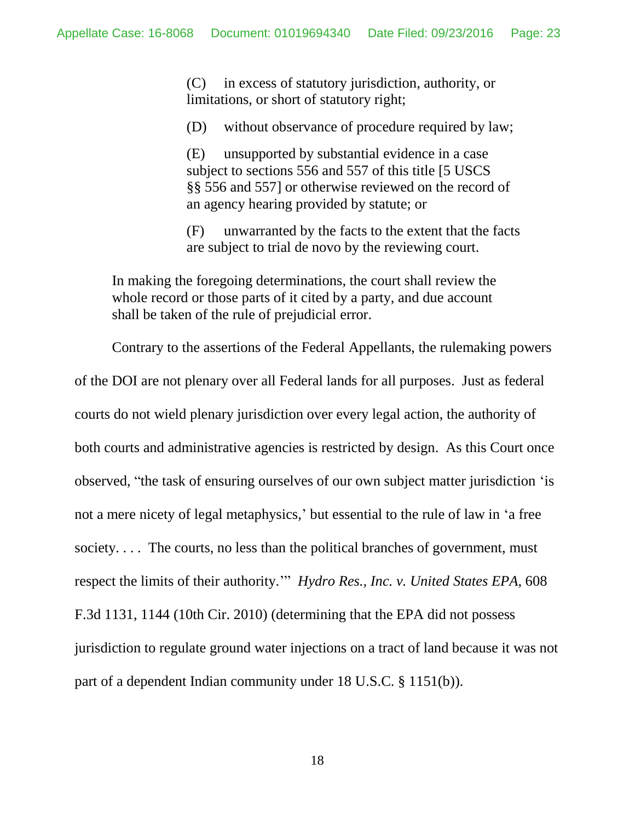(C) in excess of statutory jurisdiction, authority, or limitations, or short of statutory right;

(D) without observance of procedure required by law;

(E) unsupported by substantial evidence in a case subject to sections 556 and 557 of this title [5 USCS §§ 556 and 557] or otherwise reviewed on the record of an agency hearing provided by statute; or

(F) unwarranted by the facts to the extent that the facts are subject to trial de novo by the reviewing court.

In making the foregoing determinations, the court shall review the whole record or those parts of it cited by a party, and due account shall be taken of the rule of prejudicial error.

Contrary to the assertions of the Federal Appellants, the rulemaking powers of the DOI are not plenary over all Federal lands for all purposes. Just as federal courts do not wield plenary jurisdiction over every legal action, the authority of both courts and administrative agencies is restricted by design. As this Court once observed, "the task of ensuring ourselves of our own subject matter jurisdiction 'is not a mere nicety of legal metaphysics,' but essential to the rule of law in 'a free society. . . . The courts, no less than the political branches of government, must respect the limits of their authority.'" *Hydro Res., Inc. v. United States EPA*, 608 F.3d 1131, 1144 (10th Cir. 2010) (determining that the EPA did not possess jurisdiction to regulate ground water injections on a tract of land because it was not part of a dependent Indian community under 18 U.S.C. § 1151(b)).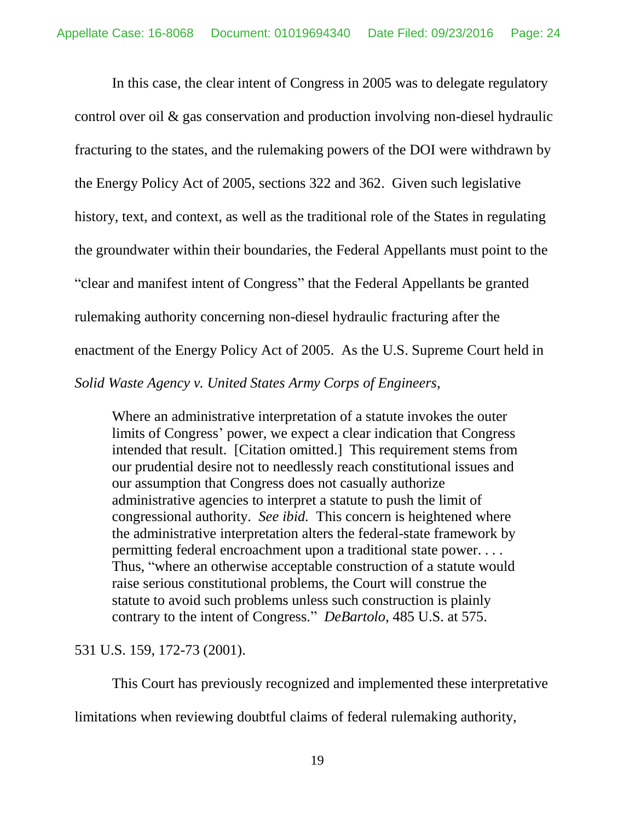In this case, the clear intent of Congress in 2005 was to delegate regulatory control over oil & gas conservation and production involving non-diesel hydraulic fracturing to the states, and the rulemaking powers of the DOI were withdrawn by the Energy Policy Act of 2005, sections 322 and 362. Given such legislative history, text, and context, as well as the traditional role of the States in regulating the groundwater within their boundaries, the Federal Appellants must point to the "clear and manifest intent of Congress" that the Federal Appellants be granted rulemaking authority concerning non-diesel hydraulic fracturing after the enactment of the Energy Policy Act of 2005. As the U.S. Supreme Court held in *Solid Waste Agency v. United States Army Corps of Engineers*,

Where an administrative interpretation of a statute invokes the outer limits of Congress' power, we expect a clear indication that Congress intended that result. [Citation omitted.] This requirement stems from our prudential desire not to needlessly reach constitutional issues and our assumption that Congress does not casually authorize administrative agencies to interpret a statute to push the limit of congressional authority. *See ibid.* This concern is heightened where the administrative interpretation alters the federal-state framework by permitting federal encroachment upon a traditional state power. . . . Thus, "where an otherwise acceptable construction of a statute would raise serious constitutional problems, the Court will construe the statute to avoid such problems unless such construction is plainly contrary to the intent of Congress." *DeBartolo*, 485 U.S. at 575.

531 U.S. 159, 172-73 (2001).

This Court has previously recognized and implemented these interpretative

limitations when reviewing doubtful claims of federal rulemaking authority,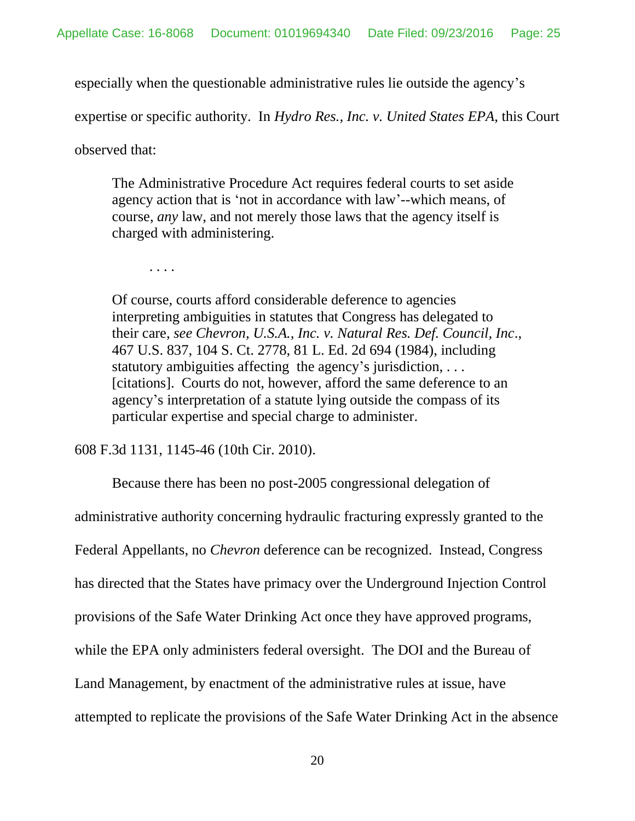especially when the questionable administrative rules lie outside the agency's

expertise or specific authority. In *Hydro Res., Inc. v. United States EPA*, this Court

observed that:

The Administrative Procedure Act requires federal courts to set aside agency action that is 'not in accordance with law'--which means, of course, *any* law, and not merely those laws that the agency itself is charged with administering.

. . . .

Of course, courts afford considerable deference to agencies interpreting ambiguities in statutes that Congress has delegated to their care, *see Chevron, U.S.A., Inc. v. Natural Res. Def. Council, Inc*., 467 U.S. 837, 104 S. Ct. 2778, 81 L. Ed. 2d 694 (1984), including statutory ambiguities affecting the agency's jurisdiction, ... [citations]. Courts do not, however, afford the same deference to an agency's interpretation of a statute lying outside the compass of its particular expertise and special charge to administer.

608 F.3d 1131, 1145-46 (10th Cir. 2010).

Because there has been no post-2005 congressional delegation of

administrative authority concerning hydraulic fracturing expressly granted to the Federal Appellants, no *Chevron* deference can be recognized. Instead, Congress has directed that the States have primacy over the Underground Injection Control provisions of the Safe Water Drinking Act once they have approved programs, while the EPA only administers federal oversight. The DOI and the Bureau of Land Management, by enactment of the administrative rules at issue, have attempted to replicate the provisions of the Safe Water Drinking Act in the absence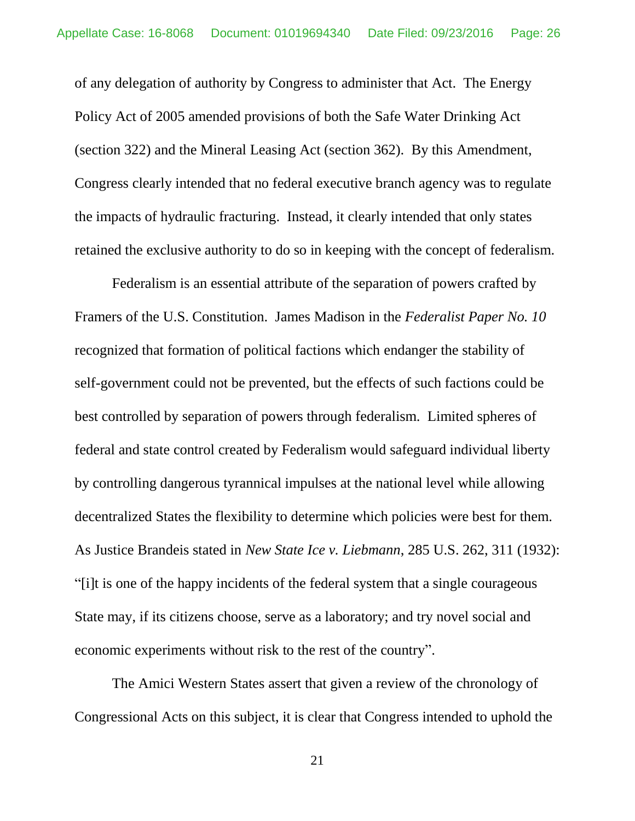of any delegation of authority by Congress to administer that Act. The Energy Policy Act of 2005 amended provisions of both the Safe Water Drinking Act (section 322) and the Mineral Leasing Act (section 362). By this Amendment, Congress clearly intended that no federal executive branch agency was to regulate the impacts of hydraulic fracturing. Instead, it clearly intended that only states retained the exclusive authority to do so in keeping with the concept of federalism.

Federalism is an essential attribute of the separation of powers crafted by Framers of the U.S. Constitution. James Madison in the *Federalist Paper No. 10* recognized that formation of political factions which endanger the stability of self-government could not be prevented, but the effects of such factions could be best controlled by separation of powers through federalism. Limited spheres of federal and state control created by Federalism would safeguard individual liberty by controlling dangerous tyrannical impulses at the national level while allowing decentralized States the flexibility to determine which policies were best for them. As Justice Brandeis stated in *New State Ice v. Liebmann*, 285 U.S. 262, 311 (1932): "[i]t is one of the happy incidents of the federal system that a single courageous State may, if its citizens choose, serve as a laboratory; and try novel social and economic experiments without risk to the rest of the country".

The Amici Western States assert that given a review of the chronology of Congressional Acts on this subject, it is clear that Congress intended to uphold the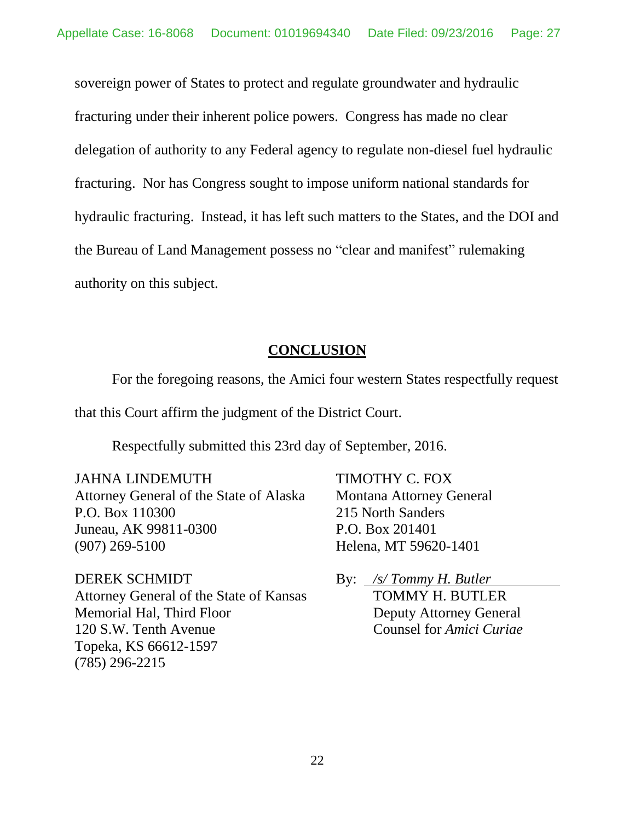sovereign power of States to protect and regulate groundwater and hydraulic fracturing under their inherent police powers. Congress has made no clear delegation of authority to any Federal agency to regulate non-diesel fuel hydraulic fracturing. Nor has Congress sought to impose uniform national standards for hydraulic fracturing. Instead, it has left such matters to the States, and the DOI and the Bureau of Land Management possess no "clear and manifest" rulemaking authority on this subject.

#### **CONCLUSION**

<span id="page-26-0"></span>For the foregoing reasons, the Amici four western States respectfully request that this Court affirm the judgment of the District Court.

Respectfully submitted this 23rd day of September, 2016.

#### JAHNA LINDEMUTH TIMOTHY C. FOX

Attorney General of the State of Alaska Montana Attorney General P.O. Box 110300 215 North Sanders Juneau, AK 99811-0300 P.O. Box 201401 (907) 269-5100 Helena, MT 59620-1401

DEREK SCHMIDT By: */s/ Tommy H. Butler* Attorney General of the State of Kansas TOMMY H. BUTLER Memorial Hal, Third Floor Deputy Attorney General 120 S.W. Tenth Avenue Counsel for *Amici Curiae* Topeka, KS 66612-1597 (785) 296-2215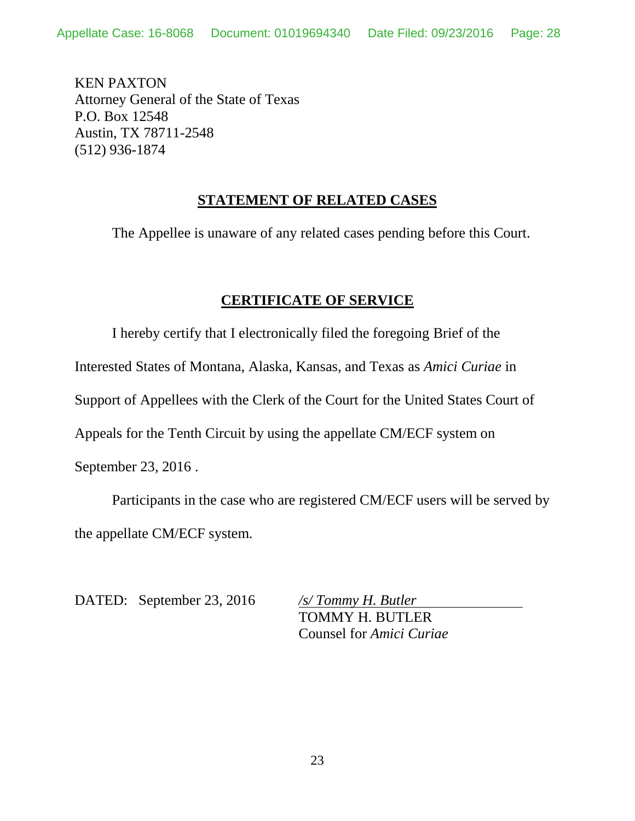KEN PAXTON Attorney General of the State of Texas P.O. Box 12548 Austin, TX 78711-2548 (512) 936-1874

#### **STATEMENT OF RELATED CASES**

The Appellee is unaware of any related cases pending before this Court.

#### **CERTIFICATE OF SERVICE**

<span id="page-27-0"></span>I hereby certify that I electronically filed the foregoing Brief of the

Interested States of Montana, Alaska, Kansas, and Texas as *Amici Curiae* in

Support of Appellees with the Clerk of the Court for the United States Court of

Appeals for the Tenth Circuit by using the appellate CM/ECF system on

September 23, 2016 .

Participants in the case who are registered CM/ECF users will be served by the appellate CM/ECF system.

DATED: September 23, 2016 */s/ Tommy H. Butler*

TOMMY H. BUTLER Counsel for *Amici Curiae*